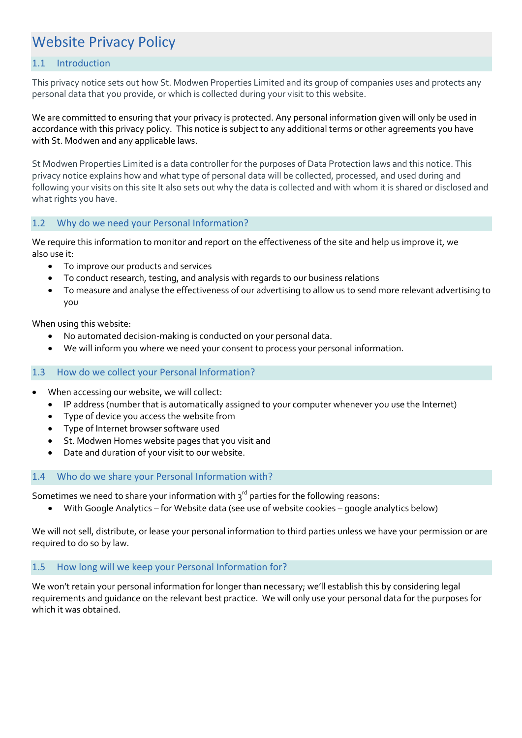# Website Privacy Policy

## 1.1 Introduction

This privacy notice sets out how St. Modwen Properties Limited and its group of companies uses and protects any personal data that you provide, or which is collected during your visit to this website.

We are committed to ensuring that your privacy is protected. Any personal information given will only be used in accordance with this privacy policy. This notice is subject to any additional terms or other agreements you have with St. Modwen and any applicable laws.

St Modwen Properties Limited is a data controller for the purposes of Data Protection laws and this notice. This privacy notice explains how and what type of personal data will be collected, processed, and used during and following your visits on this site It also sets out why the data is collected and with whom it is shared or disclosed and what rights you have.

## 1.2 Why do we need your Personal Information?

We require this information to monitor and report on the effectiveness of the site and help us improve it, we also use it:

- To improve our products and services
- To conduct research, testing, and analysis with regards to our business relations
- To measure and analyse the effectiveness of our advertising to allow us to send more relevant advertising to you

When using this website:

- No automated decision-making is conducted on your personal data.
- We will inform you where we need your consent to process your personal information.

#### 1.3 How do we collect your Personal Information?

- When accessing our website, we will collect:
	- IP address (number that is automatically assigned to your computer whenever you use the Internet)
	- Type of device you access the website from
	- Type of Internet browser software used
	- St. Modwen Homes website pages that you visit and
	- Date and duration of your visit to our website.

#### 1.4 Who do we share your Personal Information with?

Sometimes we need to share your information with  $3<sup>rd</sup>$  parties for the following reasons:

• With Google Analytics – for Website data (see use of website cookies – google analytics below)

We will not sell, distribute, or lease your personal information to third parties unless we have your permission or are required to do so by law.

#### 1.5 How long will we keep your Personal Information for?

We won't retain your personal information for longer than necessary; we'll establish this by considering legal requirements and guidance on the relevant best practice. We will only use your personal data for the purposes for which it was obtained.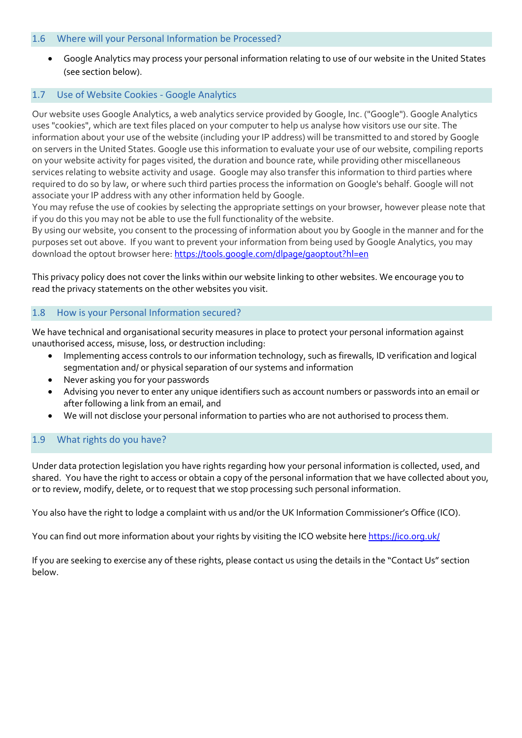#### 1.6 Where will your Personal Information be Processed?

• Google Analytics may process your personal information relating to use of our website in the United States (see section below).

# 1.7 Use of Website Cookies - Google Analytics

Our website uses Google Analytics, a web analytics service provided by Google, Inc. ("Google"). Google Analytics uses "cookies", which are text files placed on your computer to help us analyse how visitors use our site. The information about your use of the website (including your IP address) will be transmitted to and stored by Google on servers in the United States. Google use this information to evaluate your use of our website, compiling reports on your website activity for pages visited, the duration and bounce rate, while providing other miscellaneous services relating to website activity and usage. Google may also transfer this information to third parties where required to do so by law, or where such third parties process the information on Google's behalf. Google will not associate your IP address with any other information held by Google.

You may refuse the use of cookies by selecting the appropriate settings on your browser, however please note that if you do this you may not be able to use the full functionality of the website.

By using our website, you consent to the processing of information about you by Google in the manner and for the purposes set out above. If you want to prevent your information from being used by Google Analytics, you may download the optout browser here: https://tools.google.com/dlpage/gaoptout?hl=en

This privacy policy does not cover the links within our website linking to other websites. We encourage you to read the privacy statements on the other websites you visit.

## 1.8 How is your Personal Information secured?

We have technical and organisational security measures in place to protect your personal information against unauthorised access, misuse, loss, or destruction including:

- Implementing access controls to our information technology, such as firewalls, ID verification and logical segmentation and/ or physical separation of our systems and information
- Never asking you for your passwords
- Advising you never to enter any unique identifiers such as account numbers or passwords into an email or after following a link from an email, and
- We will not disclose your personal information to parties who are not authorised to process them.

## 1.9 What rights do you have?

Under data protection legislation you have rights regarding how your personal information is collected, used, and shared. You have the right to access or obtain a copy of the personal information that we have collected about you, or to review, modify, delete, or to request that we stop processing such personal information.

You also have the right to lodge a complaint with us and/or the UK Information Commissioner's Office (ICO).

You can find out more information about your rights by visiting the ICO website here https://ico.org.uk/

If you are seeking to exercise any of these rights, please contact us using the details in the "Contact Us" section below.